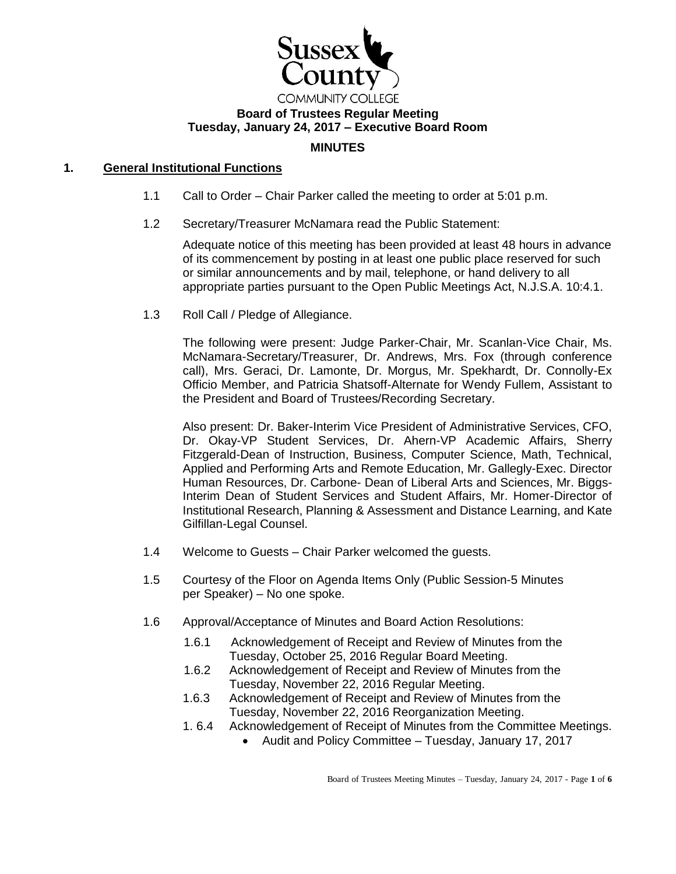

#### **Board of Trustees Regular Meeting Tuesday, January 24, 2017 – Executive Board Room**

# **MINUTES**

# **1. General Institutional Functions**

- 1.1 Call to Order Chair Parker called the meeting to order at 5:01 p.m.
- 1.2 Secretary/Treasurer McNamara read the Public Statement:

Adequate notice of this meeting has been provided at least 48 hours in advance of its commencement by posting in at least one public place reserved for such or similar announcements and by mail, telephone, or hand delivery to all appropriate parties pursuant to the Open Public Meetings Act, N.J.S.A. 10:4.1.

1.3 Roll Call / Pledge of Allegiance.

The following were present: Judge Parker-Chair, Mr. Scanlan-Vice Chair, Ms. McNamara-Secretary/Treasurer, Dr. Andrews, Mrs. Fox (through conference call), Mrs. Geraci, Dr. Lamonte, Dr. Morgus, Mr. Spekhardt, Dr. Connolly-Ex Officio Member, and Patricia Shatsoff-Alternate for Wendy Fullem, Assistant to the President and Board of Trustees/Recording Secretary.

Also present: Dr. Baker-Interim Vice President of Administrative Services, CFO, Dr. Okay-VP Student Services, Dr. Ahern-VP Academic Affairs, Sherry Fitzgerald-Dean of Instruction, Business, Computer Science, Math, Technical, Applied and Performing Arts and Remote Education, Mr. Gallegly-Exec. Director Human Resources, Dr. Carbone- Dean of Liberal Arts and Sciences, Mr. Biggs-Interim Dean of Student Services and Student Affairs, Mr. Homer-Director of Institutional Research, Planning & Assessment and Distance Learning, and Kate Gilfillan-Legal Counsel.

- 1.4 Welcome to Guests Chair Parker welcomed the guests.
- 1.5 Courtesy of the Floor on Agenda Items Only (Public Session-5 Minutes per Speaker) – No one spoke.
- 1.6 Approval/Acceptance of Minutes and Board Action Resolutions:
	- 1.6.1 Acknowledgement of Receipt and Review of Minutes from the Tuesday, October 25, 2016 Regular Board Meeting.
	- 1.6.2 Acknowledgement of Receipt and Review of Minutes from the Tuesday, November 22, 2016 Regular Meeting.
	- 1.6.3 Acknowledgement of Receipt and Review of Minutes from the Tuesday, November 22, 2016 Reorganization Meeting.
	- 1. 6.4 Acknowledgement of Receipt of Minutes from the Committee Meetings.
		- Audit and Policy Committee Tuesday, January 17, 2017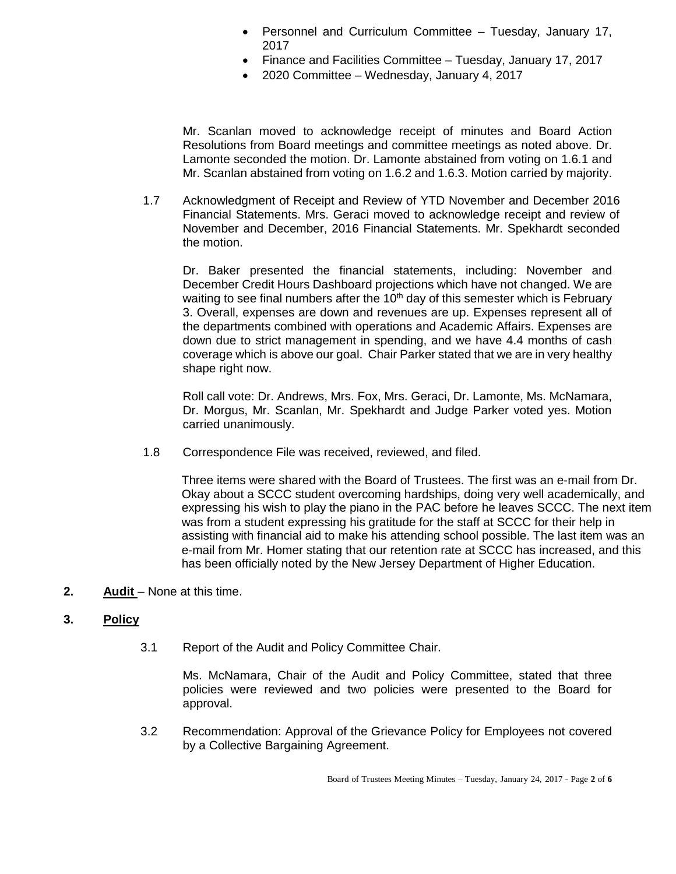- Personnel and Curriculum Committee Tuesday, January 17, 2017
- Finance and Facilities Committee Tuesday, January 17, 2017
- 2020 Committee Wednesday, January 4, 2017

Mr. Scanlan moved to acknowledge receipt of minutes and Board Action Resolutions from Board meetings and committee meetings as noted above. Dr. Lamonte seconded the motion. Dr. Lamonte abstained from voting on 1.6.1 and Mr. Scanlan abstained from voting on 1.6.2 and 1.6.3. Motion carried by majority.

1.7 Acknowledgment of Receipt and Review of YTD November and December 2016 Financial Statements. Mrs. Geraci moved to acknowledge receipt and review of November and December, 2016 Financial Statements. Mr. Spekhardt seconded the motion.

Dr. Baker presented the financial statements, including: November and December Credit Hours Dashboard projections which have not changed. We are waiting to see final numbers after the 10<sup>th</sup> day of this semester which is February 3. Overall, expenses are down and revenues are up. Expenses represent all of the departments combined with operations and Academic Affairs. Expenses are down due to strict management in spending, and we have 4.4 months of cash coverage which is above our goal. Chair Parker stated that we are in very healthy shape right now.

Roll call vote: Dr. Andrews, Mrs. Fox, Mrs. Geraci, Dr. Lamonte, Ms. McNamara, Dr. Morgus, Mr. Scanlan, Mr. Spekhardt and Judge Parker voted yes. Motion carried unanimously.

1.8 Correspondence File was received, reviewed, and filed.

 Three items were shared with the Board of Trustees. The first was an e-mail from Dr. Okay about a SCCC student overcoming hardships, doing very well academically, and expressing his wish to play the piano in the PAC before he leaves SCCC. The next item was from a student expressing his gratitude for the staff at SCCC for their help in assisting with financial aid to make his attending school possible. The last item was an e-mail from Mr. Homer stating that our retention rate at SCCC has increased, and this has been officially noted by the New Jersey Department of Higher Education.

**2. Audit** – None at this time.

## **3. Policy**

3.1 Report of the Audit and Policy Committee Chair.

Ms. McNamara, Chair of the Audit and Policy Committee, stated that three policies were reviewed and two policies were presented to the Board for approval.

 3.2 Recommendation: Approval of the Grievance Policy for Employees not covered by a Collective Bargaining Agreement.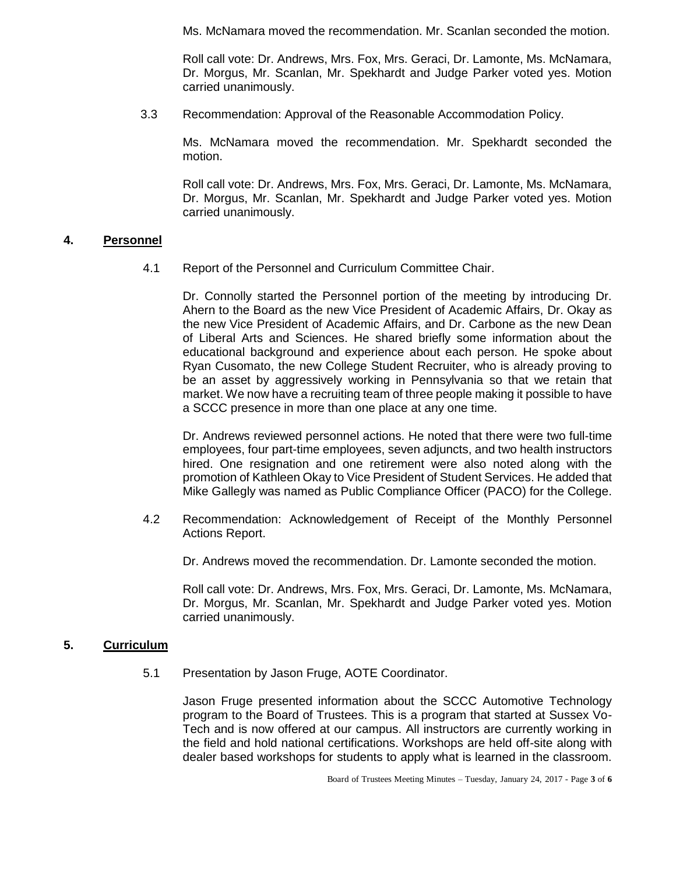Ms. McNamara moved the recommendation. Mr. Scanlan seconded the motion.

Roll call vote: Dr. Andrews, Mrs. Fox, Mrs. Geraci, Dr. Lamonte, Ms. McNamara, Dr. Morgus, Mr. Scanlan, Mr. Spekhardt and Judge Parker voted yes. Motion carried unanimously.

3.3 Recommendation: Approval of the Reasonable Accommodation Policy.

Ms. McNamara moved the recommendation. Mr. Spekhardt seconded the motion.

Roll call vote: Dr. Andrews, Mrs. Fox, Mrs. Geraci, Dr. Lamonte, Ms. McNamara, Dr. Morgus, Mr. Scanlan, Mr. Spekhardt and Judge Parker voted yes. Motion carried unanimously.

#### **4. Personnel**

4.1 Report of the Personnel and Curriculum Committee Chair.

Dr. Connolly started the Personnel portion of the meeting by introducing Dr. Ahern to the Board as the new Vice President of Academic Affairs, Dr. Okay as the new Vice President of Academic Affairs, and Dr. Carbone as the new Dean of Liberal Arts and Sciences. He shared briefly some information about the educational background and experience about each person. He spoke about Ryan Cusomato, the new College Student Recruiter, who is already proving to be an asset by aggressively working in Pennsylvania so that we retain that market. We now have a recruiting team of three people making it possible to have a SCCC presence in more than one place at any one time.

Dr. Andrews reviewed personnel actions. He noted that there were two full-time employees, four part-time employees, seven adjuncts, and two health instructors hired. One resignation and one retirement were also noted along with the promotion of Kathleen Okay to Vice President of Student Services. He added that Mike Gallegly was named as Public Compliance Officer (PACO) for the College.

 4.2 Recommendation: Acknowledgement of Receipt of the Monthly Personnel Actions Report.

Dr. Andrews moved the recommendation. Dr. Lamonte seconded the motion.

Roll call vote: Dr. Andrews, Mrs. Fox, Mrs. Geraci, Dr. Lamonte, Ms. McNamara, Dr. Morgus, Mr. Scanlan, Mr. Spekhardt and Judge Parker voted yes. Motion carried unanimously.

#### **5. Curriculum**

5.1 Presentation by Jason Fruge, AOTE Coordinator.

Jason Fruge presented information about the SCCC Automotive Technology program to the Board of Trustees. This is a program that started at Sussex Vo-Tech and is now offered at our campus. All instructors are currently working in the field and hold national certifications. Workshops are held off-site along with dealer based workshops for students to apply what is learned in the classroom.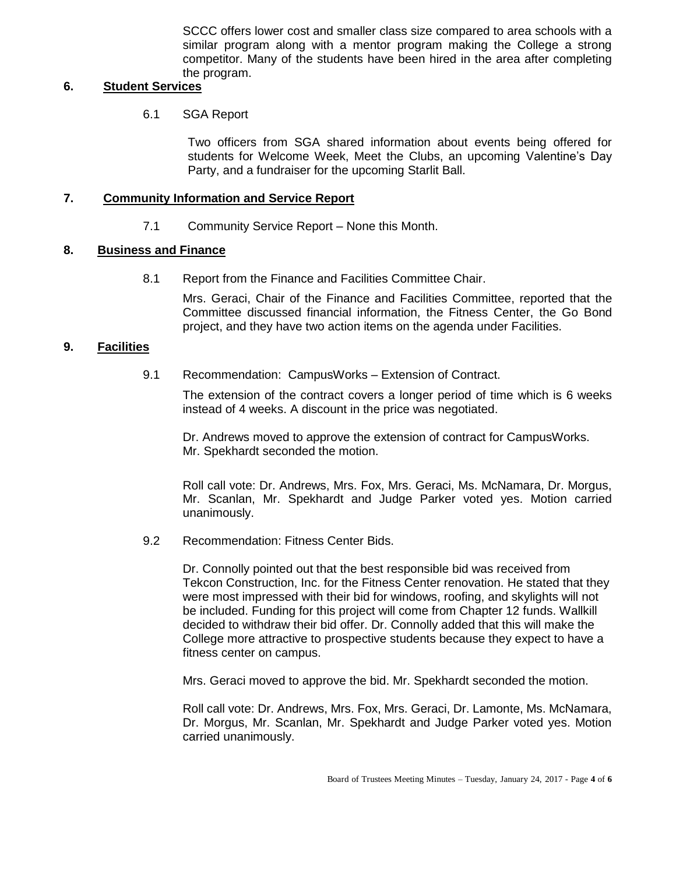SCCC offers lower cost and smaller class size compared to area schools with a similar program along with a mentor program making the College a strong competitor. Many of the students have been hired in the area after completing the program.

# **6. Student Services**

6.1 SGA Report

Two officers from SGA shared information about events being offered for students for Welcome Week, Meet the Clubs, an upcoming Valentine's Day Party, and a fundraiser for the upcoming Starlit Ball.

# **7. Community Information and Service Report**

7.1 Community Service Report – None this Month.

# **8. Business and Finance**

8.1 Report from the Finance and Facilities Committee Chair.

Mrs. Geraci, Chair of the Finance and Facilities Committee, reported that the Committee discussed financial information, the Fitness Center, the Go Bond project, and they have two action items on the agenda under Facilities.

## **9. Facilities**

9.1 Recommendation: CampusWorks – Extension of Contract.

The extension of the contract covers a longer period of time which is 6 weeks instead of 4 weeks. A discount in the price was negotiated.

Dr. Andrews moved to approve the extension of contract for CampusWorks. Mr. Spekhardt seconded the motion.

Roll call vote: Dr. Andrews, Mrs. Fox, Mrs. Geraci, Ms. McNamara, Dr. Morgus, Mr. Scanlan, Mr. Spekhardt and Judge Parker voted yes. Motion carried unanimously.

9.2 Recommendation: Fitness Center Bids.

Dr. Connolly pointed out that the best responsible bid was received from Tekcon Construction, Inc. for the Fitness Center renovation. He stated that they were most impressed with their bid for windows, roofing, and skylights will not be included. Funding for this project will come from Chapter 12 funds. Wallkill decided to withdraw their bid offer. Dr. Connolly added that this will make the College more attractive to prospective students because they expect to have a fitness center on campus.

Mrs. Geraci moved to approve the bid. Mr. Spekhardt seconded the motion.

Roll call vote: Dr. Andrews, Mrs. Fox, Mrs. Geraci, Dr. Lamonte, Ms. McNamara, Dr. Morgus, Mr. Scanlan, Mr. Spekhardt and Judge Parker voted yes. Motion carried unanimously.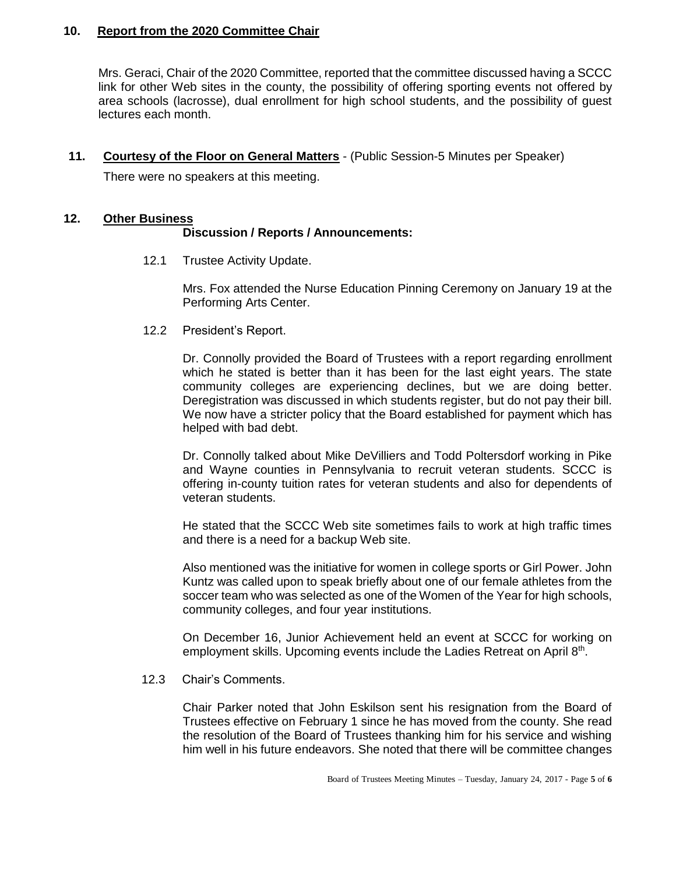## **10. Report from the 2020 Committee Chair**

Mrs. Geraci, Chair of the 2020 Committee, reported that the committee discussed having a SCCC link for other Web sites in the county, the possibility of offering sporting events not offered by area schools (lacrosse), dual enrollment for high school students, and the possibility of guest lectures each month.

**11. Courtesy of the Floor on General Matters** - (Public Session-5 Minutes per Speaker)

There were no speakers at this meeting.

## **12. Other Business**

## **Discussion / Reports / Announcements:**

12.1 Trustee Activity Update.

Mrs. Fox attended the Nurse Education Pinning Ceremony on January 19 at the Performing Arts Center.

12.2 President's Report.

Dr. Connolly provided the Board of Trustees with a report regarding enrollment which he stated is better than it has been for the last eight years. The state community colleges are experiencing declines, but we are doing better. Deregistration was discussed in which students register, but do not pay their bill. We now have a stricter policy that the Board established for payment which has helped with bad debt.

Dr. Connolly talked about Mike DeVilliers and Todd Poltersdorf working in Pike and Wayne counties in Pennsylvania to recruit veteran students. SCCC is offering in-county tuition rates for veteran students and also for dependents of veteran students.

He stated that the SCCC Web site sometimes fails to work at high traffic times and there is a need for a backup Web site.

Also mentioned was the initiative for women in college sports or Girl Power. John Kuntz was called upon to speak briefly about one of our female athletes from the soccer team who was selected as one of the Women of the Year for high schools, community colleges, and four year institutions.

On December 16, Junior Achievement held an event at SCCC for working on employment skills. Upcoming events include the Ladies Retreat on April 8<sup>th</sup>.

12.3 Chair's Comments.

Chair Parker noted that John Eskilson sent his resignation from the Board of Trustees effective on February 1 since he has moved from the county. She read the resolution of the Board of Trustees thanking him for his service and wishing him well in his future endeavors. She noted that there will be committee changes